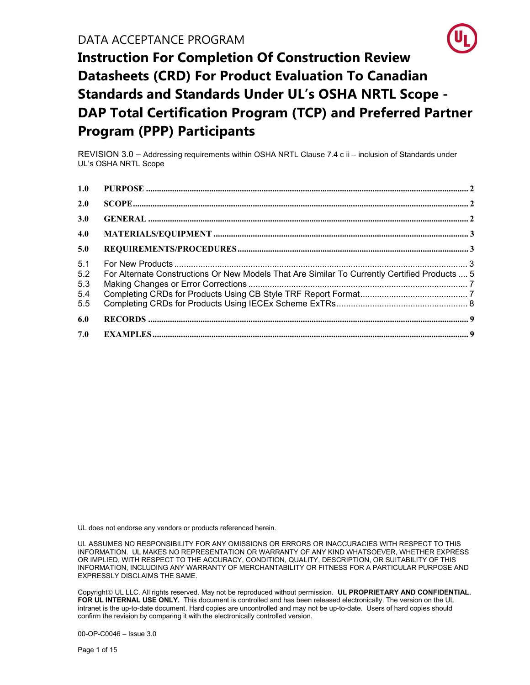

REVISION 3.0 – Addressing requirements within OSHA NRTL Clause 7.4 c ii – inclusion of Standards under UL's OSHA NRTL Scope

| 1.0                             |                                                                                               |  |
|---------------------------------|-----------------------------------------------------------------------------------------------|--|
| 2.0                             |                                                                                               |  |
| 3.0                             |                                                                                               |  |
| 4.0                             |                                                                                               |  |
| 5.0                             |                                                                                               |  |
| 5.1<br>5.2<br>5.3<br>5.4<br>5.5 | For Alternate Constructions Or New Models That Are Similar To Currently Certified Products  5 |  |
| 6.0                             |                                                                                               |  |
| 7.0                             |                                                                                               |  |

UL does not endorse any vendors or products referenced herein.

UL ASSUMES NO RESPONSIBILITY FOR ANY OMISSIONS OR ERRORS OR INACCURACIES WITH RESPECT TO THIS INFORMATION. UL MAKES NO REPRESENTATION OR WARRANTY OF ANY KIND WHATSOEVER, WHETHER EXPRESS OR IMPLIED, WITH RESPECT TO THE ACCURACY, CONDITION, QUALITY, DESCRIPTION, OR SUITABILITY OF THIS INFORMATION, INCLUDING ANY WARRANTY OF MERCHANTABILITY OR FITNESS FOR A PARTICULAR PURPOSE AND EXPRESSLY DISCLAIMS THE SAME.

Copyright© UL LLC. All rights reserved. May not be reproduced without permission. UL PROPRIETARY AND CONFIDENTIAL. FOR UL INTERNAL USE ONLY. This document is controlled and has been released electronically. The version on the UL intranet is the up-to-date document. Hard copies are uncontrolled and may not be up-to-date. Users of hard copies should confirm the revision by comparing it with the electronically controlled version.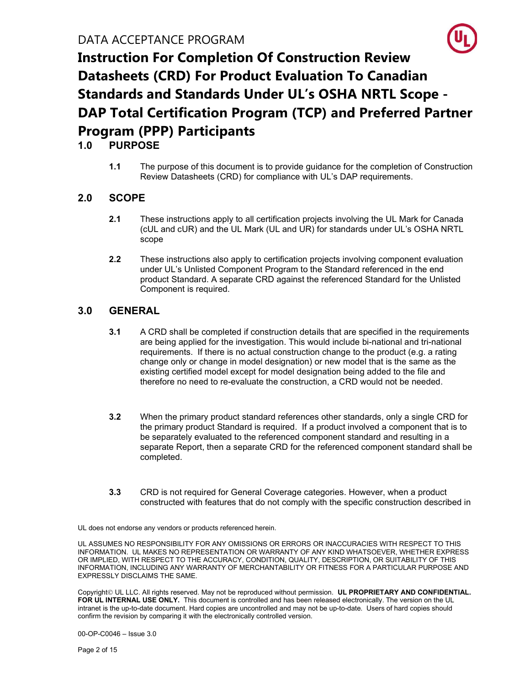

### 1.0 PURPOSE

1.1 The purpose of this document is to provide guidance for the completion of Construction Review Datasheets (CRD) for compliance with UL's DAP requirements.

### 2.0 SCOPE

- 2.1 These instructions apply to all certification projects involving the UL Mark for Canada (cUL and cUR) and the UL Mark (UL and UR) for standards under UL's OSHA NRTL scope
- 2.2 These instructions also apply to certification projects involving component evaluation under UL's Unlisted Component Program to the Standard referenced in the end product Standard. A separate CRD against the referenced Standard for the Unlisted Component is required.

#### 3.0 GENERAL

- 3.1 A CRD shall be completed if construction details that are specified in the requirements are being applied for the investigation. This would include bi-national and tri-national requirements. If there is no actual construction change to the product (e.g. a rating change only or change in model designation) or new model that is the same as the existing certified model except for model designation being added to the file and therefore no need to re-evaluate the construction, a CRD would not be needed.
- 3.2 When the primary product standard references other standards, only a single CRD for the primary product Standard is required. If a product involved a component that is to be separately evaluated to the referenced component standard and resulting in a separate Report, then a separate CRD for the referenced component standard shall be completed.
- 3.3 CRD is not required for General Coverage categories. However, when a product constructed with features that do not comply with the specific construction described in

UL does not endorse any vendors or products referenced herein.

UL ASSUMES NO RESPONSIBILITY FOR ANY OMISSIONS OR ERRORS OR INACCURACIES WITH RESPECT TO THIS INFORMATION. UL MAKES NO REPRESENTATION OR WARRANTY OF ANY KIND WHATSOEVER, WHETHER EXPRESS OR IMPLIED, WITH RESPECT TO THE ACCURACY, CONDITION, QUALITY, DESCRIPTION, OR SUITABILITY OF THIS INFORMATION, INCLUDING ANY WARRANTY OF MERCHANTABILITY OR FITNESS FOR A PARTICULAR PURPOSE AND EXPRESSLY DISCLAIMS THE SAME.

Copyright © UL LLC. All rights reserved. May not be reproduced without permission. UL PROPRIETARY AND CONFIDENTIAL. FOR UL INTERNAL USE ONLY. This document is controlled and has been released electronically. The version on the UL intranet is the up-to-date document. Hard copies are uncontrolled and may not be up-to-date. Users of hard copies should confirm the revision by comparing it with the electronically controlled version.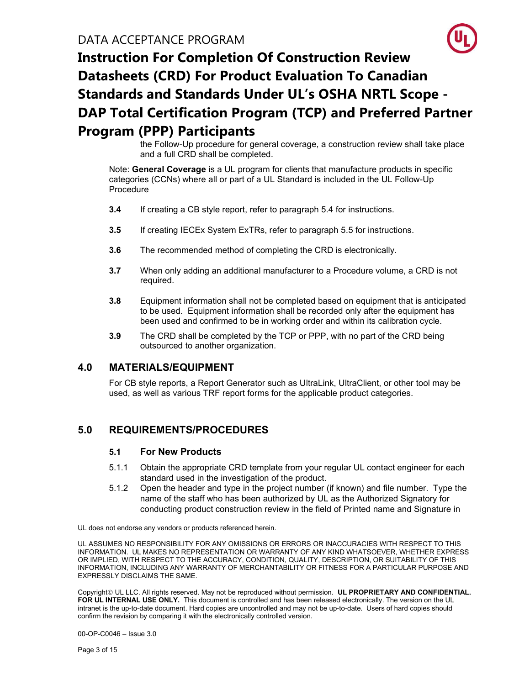the Follow-Up procedure for general coverage, a construction review shall take place and a full CRD shall be completed.

Note: General Coverage is a UL program for clients that manufacture products in specific categories (CCNs) where all or part of a UL Standard is included in the UL Follow-Up **Procedure** 

- 3.4 If creating a CB style report, refer to paragraph 5.4 for instructions.
- 3.5 If creating IECEx System ExTRs, refer to paragraph 5.5 for instructions.
- **3.6** The recommended method of completing the CRD is electronically.
- 3.7 When only adding an additional manufacturer to a Procedure volume, a CRD is not required.
- 3.8 Equipment information shall not be completed based on equipment that is anticipated to be used. Equipment information shall be recorded only after the equipment has been used and confirmed to be in working order and within its calibration cycle.
- 3.9 The CRD shall be completed by the TCP or PPP, with no part of the CRD being outsourced to another organization.

### 4.0 MATERIALS/EQUIPMENT

For CB style reports, a Report Generator such as UltraLink, UltraClient, or other tool may be used, as well as various TRF report forms for the applicable product categories.

### 5.0 REQUIREMENTS/PROCEDURES

#### 5.1 For New Products

- 5.1.1 Obtain the appropriate CRD template from your regular UL contact engineer for each standard used in the investigation of the product.
- 5.1.2 Open the header and type in the project number (if known) and file number. Type the name of the staff who has been authorized by UL as the Authorized Signatory for conducting product construction review in the field of Printed name and Signature in

UL does not endorse any vendors or products referenced herein.

UL ASSUMES NO RESPONSIBILITY FOR ANY OMISSIONS OR ERRORS OR INACCURACIES WITH RESPECT TO THIS INFORMATION. UL MAKES NO REPRESENTATION OR WARRANTY OF ANY KIND WHATSOEVER, WHETHER EXPRESS OR IMPLIED, WITH RESPECT TO THE ACCURACY, CONDITION, QUALITY, DESCRIPTION, OR SUITABILITY OF THIS INFORMATION, INCLUDING ANY WARRANTY OF MERCHANTABILITY OR FITNESS FOR A PARTICULAR PURPOSE AND EXPRESSLY DISCLAIMS THE SAME.

Copyright © UL LLC. All rights reserved. May not be reproduced without permission. UL PROPRIETARY AND CONFIDENTIAL. FOR UL INTERNAL USE ONLY. This document is controlled and has been released electronically. The version on the UL intranet is the up-to-date document. Hard copies are uncontrolled and may not be up-to-date. Users of hard copies should confirm the revision by comparing it with the electronically controlled version.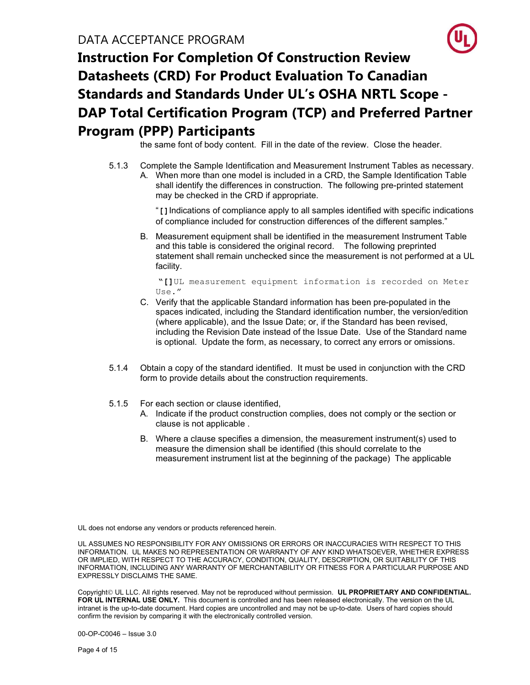the same font of body content. Fill in the date of the review. Close the header.

5.1.3 Complete the Sample Identification and Measurement Instrument Tables as necessary. A. When more than one model is included in a CRD, the Sample Identification Table shall identify the differences in construction. The following pre-printed statement may be checked in the CRD if appropriate.

> "[]Indications of compliance apply to all samples identified with specific indications of compliance included for construction differences of the different samples."

B. Measurement equipment shall be identified in the measurement Instrument Table and this table is considered the original record. The following preprinted statement shall remain unchecked since the measurement is not performed at a UL facility.

"[]UL measurement equipment information is recorded on Meter Use."

- C. Verify that the applicable Standard information has been pre-populated in the spaces indicated, including the Standard identification number, the version/edition (where applicable), and the Issue Date; or, if the Standard has been revised, including the Revision Date instead of the Issue Date. Use of the Standard name is optional. Update the form, as necessary, to correct any errors or omissions.
- 5.1.4 Obtain a copy of the standard identified. It must be used in conjunction with the CRD form to provide details about the construction requirements.
- 5.1.5 For each section or clause identified,
	- A. Indicate if the product construction complies, does not comply or the section or clause is not applicable .
	- B. Where a clause specifies a dimension, the measurement instrument(s) used to measure the dimension shall be identified (this should correlate to the measurement instrument list at the beginning of the package) The applicable

UL does not endorse any vendors or products referenced herein.

UL ASSUMES NO RESPONSIBILITY FOR ANY OMISSIONS OR ERRORS OR INACCURACIES WITH RESPECT TO THIS INFORMATION. UL MAKES NO REPRESENTATION OR WARRANTY OF ANY KIND WHATSOEVER, WHETHER EXPRESS OR IMPLIED, WITH RESPECT TO THE ACCURACY, CONDITION, QUALITY, DESCRIPTION, OR SUITABILITY OF THIS INFORMATION, INCLUDING ANY WARRANTY OF MERCHANTABILITY OR FITNESS FOR A PARTICULAR PURPOSE AND EXPRESSLY DISCLAIMS THE SAME.

Copyright © UL LLC. All rights reserved. May not be reproduced without permission. UL PROPRIETARY AND CONFIDENTIAL. FOR UL INTERNAL USE ONLY. This document is controlled and has been released electronically. The version on the UL intranet is the up-to-date document. Hard copies are uncontrolled and may not be up-to-date. Users of hard copies should confirm the revision by comparing it with the electronically controlled version.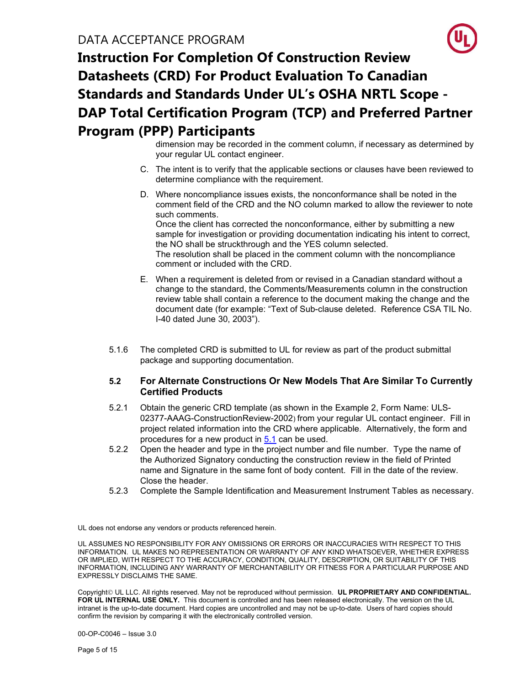dimension may be recorded in the comment column, if necessary as determined by your regular UL contact engineer.

- C. The intent is to verify that the applicable sections or clauses have been reviewed to determine compliance with the requirement.
- D. Where noncompliance issues exists, the nonconformance shall be noted in the comment field of the CRD and the NO column marked to allow the reviewer to note such comments. Once the client has corrected the nonconformance, either by submitting a new sample for investigation or providing documentation indicating his intent to correct, the NO shall be struckthrough and the YES column selected. The resolution shall be placed in the comment column with the noncompliance comment or included with the CRD.
- E. When a requirement is deleted from or revised in a Canadian standard without a change to the standard, the Comments/Measurements column in the construction review table shall contain a reference to the document making the change and the document date (for example: "Text of Sub-clause deleted. Reference CSA TIL No. I-40 dated June 30, 2003").
- 5.1.6 The completed CRD is submitted to UL for review as part of the product submittal package and supporting documentation.

#### 5.2 For Alternate Constructions Or New Models That Are Similar To Currently Certified Products

- 5.2.1 Obtain the generic CRD template (as shown in the Example 2, Form Name: ULS-02377-AAAG-ConstructionReview-2002) from your regular UL contact engineer. Fill in project related information into the CRD where applicable. Alternatively, the form and procedures for a new product in 5.1 can be used.
- 5.2.2 Open the header and type in the project number and file number. Type the name of the Authorized Signatory conducting the construction review in the field of Printed name and Signature in the same font of body content. Fill in the date of the review. Close the header.
- 5.2.3 Complete the Sample Identification and Measurement Instrument Tables as necessary.

UL does not endorse any vendors or products referenced herein.

UL ASSUMES NO RESPONSIBILITY FOR ANY OMISSIONS OR ERRORS OR INACCURACIES WITH RESPECT TO THIS INFORMATION. UL MAKES NO REPRESENTATION OR WARRANTY OF ANY KIND WHATSOEVER, WHETHER EXPRESS OR IMPLIED, WITH RESPECT TO THE ACCURACY, CONDITION, QUALITY, DESCRIPTION, OR SUITABILITY OF THIS INFORMATION, INCLUDING ANY WARRANTY OF MERCHANTABILITY OR FITNESS FOR A PARTICULAR PURPOSE AND EXPRESSLY DISCLAIMS THE SAME.

Copyright © UL LLC. All rights reserved. May not be reproduced without permission. UL PROPRIETARY AND CONFIDENTIAL. FOR UL INTERNAL USE ONLY. This document is controlled and has been released electronically. The version on the UL intranet is the up-to-date document. Hard copies are uncontrolled and may not be up-to-date. Users of hard copies should confirm the revision by comparing it with the electronically controlled version.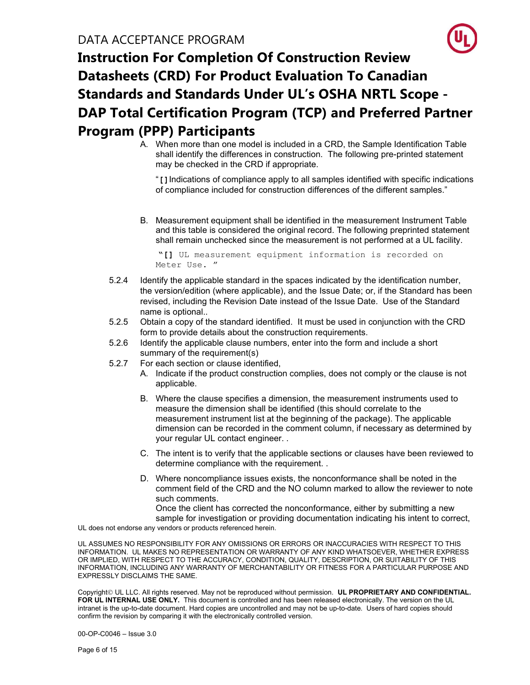A. When more than one model is included in a CRD, the Sample Identification Table shall identify the differences in construction. The following pre-printed statement may be checked in the CRD if appropriate.

"[]Indications of compliance apply to all samples identified with specific indications of compliance included for construction differences of the different samples."

B. Measurement equipment shall be identified in the measurement Instrument Table and this table is considered the original record. The following preprinted statement shall remain unchecked since the measurement is not performed at a UL facility.

"[] UL measurement equipment information is recorded on Meter Use. "

- 5.2.4 Identify the applicable standard in the spaces indicated by the identification number, the version/edition (where applicable), and the Issue Date; or, if the Standard has been revised, including the Revision Date instead of the Issue Date. Use of the Standard name is optional..
- 5.2.5 Obtain a copy of the standard identified. It must be used in conjunction with the CRD form to provide details about the construction requirements.
- 5.2.6 Identify the applicable clause numbers, enter into the form and include a short summary of the requirement(s)
- 5.2.7 For each section or clause identified,
	- A. Indicate if the product construction complies, does not comply or the clause is not applicable.
	- B. Where the clause specifies a dimension, the measurement instruments used to measure the dimension shall be identified (this should correlate to the measurement instrument list at the beginning of the package). The applicable dimension can be recorded in the comment column, if necessary as determined by your regular UL contact engineer. .
	- C. The intent is to verify that the applicable sections or clauses have been reviewed to determine compliance with the requirement. .
	- D. Where noncompliance issues exists, the nonconformance shall be noted in the comment field of the CRD and the NO column marked to allow the reviewer to note such comments.

Once the client has corrected the nonconformance, either by submitting a new sample for investigation or providing documentation indicating his intent to correct,

UL does not endorse any vendors or products referenced herein.

UL ASSUMES NO RESPONSIBILITY FOR ANY OMISSIONS OR ERRORS OR INACCURACIES WITH RESPECT TO THIS INFORMATION. UL MAKES NO REPRESENTATION OR WARRANTY OF ANY KIND WHATSOEVER, WHETHER EXPRESS OR IMPLIED, WITH RESPECT TO THE ACCURACY, CONDITION, QUALITY, DESCRIPTION, OR SUITABILITY OF THIS INFORMATION, INCLUDING ANY WARRANTY OF MERCHANTABILITY OR FITNESS FOR A PARTICULAR PURPOSE AND EXPRESSLY DISCLAIMS THE SAME.

Copyright © UL LLC. All rights reserved. May not be reproduced without permission. UL PROPRIETARY AND CONFIDENTIAL. FOR UL INTERNAL USE ONLY. This document is controlled and has been released electronically. The version on the UL intranet is the up-to-date document. Hard copies are uncontrolled and may not be up-to-date. Users of hard copies should confirm the revision by comparing it with the electronically controlled version.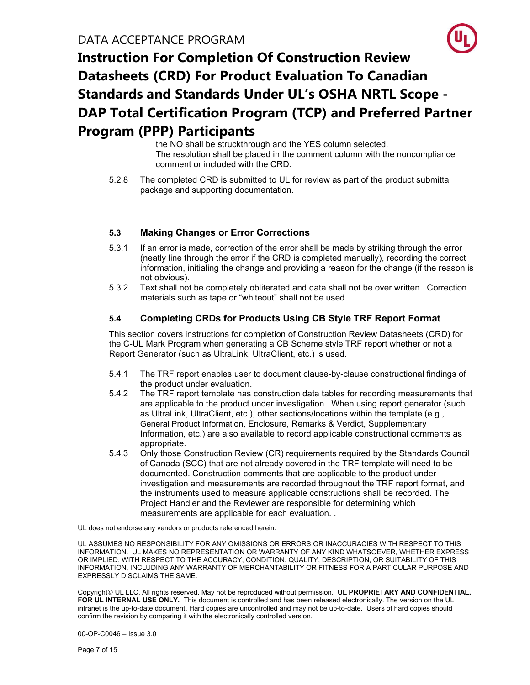the NO shall be struckthrough and the YES column selected. The resolution shall be placed in the comment column with the noncompliance comment or included with the CRD.

5.2.8 The completed CRD is submitted to UL for review as part of the product submittal package and supporting documentation.

#### 5.3 Making Changes or Error Corrections

- 5.3.1 If an error is made, correction of the error shall be made by striking through the error (neatly line through the error if the CRD is completed manually), recording the correct information, initialing the change and providing a reason for the change (if the reason is not obvious).
- 5.3.2 Text shall not be completely obliterated and data shall not be over written. Correction materials such as tape or "whiteout" shall not be used. .

#### 5.4 Completing CRDs for Products Using CB Style TRF Report Format

This section covers instructions for completion of Construction Review Datasheets (CRD) for the C-UL Mark Program when generating a CB Scheme style TRF report whether or not a Report Generator (such as UltraLink, UltraClient, etc.) is used.

- 5.4.1 The TRF report enables user to document clause-by-clause constructional findings of the product under evaluation.
- 5.4.2 The TRF report template has construction data tables for recording measurements that are applicable to the product under investigation. When using report generator (such as UltraLink, UltraClient, etc.), other sections/locations within the template (e.g., General Product Information, Enclosure, Remarks & Verdict, Supplementary Information, etc.) are also available to record applicable constructional comments as appropriate.
- 5.4.3 Only those Construction Review (CR) requirements required by the Standards Council of Canada (SCC) that are not already covered in the TRF template will need to be documented. Construction comments that are applicable to the product under investigation and measurements are recorded throughout the TRF report format, and the instruments used to measure applicable constructions shall be recorded. The Project Handler and the Reviewer are responsible for determining which measurements are applicable for each evaluation. .

UL does not endorse any vendors or products referenced herein.

UL ASSUMES NO RESPONSIBILITY FOR ANY OMISSIONS OR ERRORS OR INACCURACIES WITH RESPECT TO THIS INFORMATION. UL MAKES NO REPRESENTATION OR WARRANTY OF ANY KIND WHATSOEVER, WHETHER EXPRESS OR IMPLIED, WITH RESPECT TO THE ACCURACY, CONDITION, QUALITY, DESCRIPTION, OR SUITABILITY OF THIS INFORMATION, INCLUDING ANY WARRANTY OF MERCHANTABILITY OR FITNESS FOR A PARTICULAR PURPOSE AND EXPRESSLY DISCLAIMS THE SAME.

Copyright © UL LLC. All rights reserved. May not be reproduced without permission. UL PROPRIETARY AND CONFIDENTIAL. FOR UL INTERNAL USE ONLY. This document is controlled and has been released electronically. The version on the UL intranet is the up-to-date document. Hard copies are uncontrolled and may not be up-to-date. Users of hard copies should confirm the revision by comparing it with the electronically controlled version.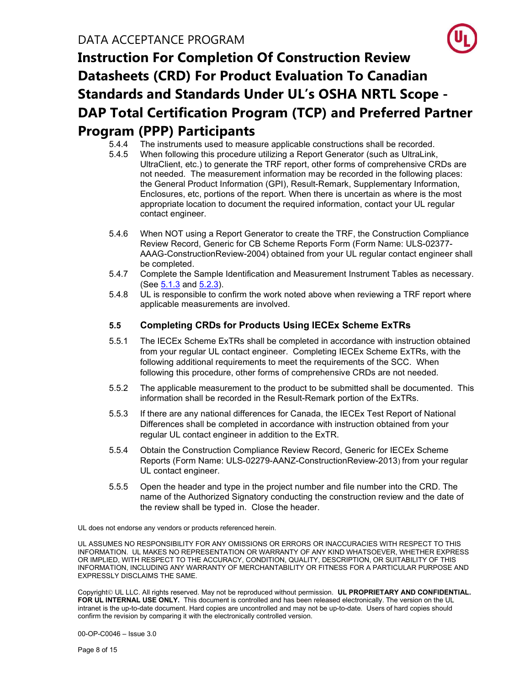- 5.4.4 The instruments used to measure applicable constructions shall be recorded.
- 5.4.5 When following this procedure utilizing a Report Generator (such as UltraLink, UltraClient, etc.) to generate the TRF report, other forms of comprehensive CRDs are not needed. The measurement information may be recorded in the following places: the General Product Information (GPI), Result-Remark, Supplementary Information, Enclosures, etc, portions of the report. When there is uncertain as where is the most appropriate location to document the required information, contact your UL regular contact engineer.
- 5.4.6 When NOT using a Report Generator to create the TRF, the Construction Compliance Review Record, Generic for CB Scheme Reports Form (Form Name: ULS-02377- AAAG-ConstructionReview-2004) obtained from your UL regular contact engineer shall be completed.
- 5.4.7 Complete the Sample Identification and Measurement Instrument Tables as necessary. (See 5.1.3 and 5.2.3).
- 5.4.8 UL is responsible to confirm the work noted above when reviewing a TRF report where applicable measurements are involved.

#### 5.5 Completing CRDs for Products Using IECEx Scheme ExTRs

- 5.5.1 The IECEx Scheme ExTRs shall be completed in accordance with instruction obtained from your regular UL contact engineer. Completing IECEx Scheme ExTRs, with the following additional requirements to meet the requirements of the SCC. When following this procedure, other forms of comprehensive CRDs are not needed.
- 5.5.2 The applicable measurement to the product to be submitted shall be documented. This information shall be recorded in the Result-Remark portion of the ExTRs.
- 5.5.3 If there are any national differences for Canada, the IECEx Test Report of National Differences shall be completed in accordance with instruction obtained from your regular UL contact engineer in addition to the ExTR.
- 5.5.4 Obtain the Construction Compliance Review Record, Generic for IECEx Scheme Reports (Form Name: ULS-02279-AANZ-ConstructionReview-2013) from your regular UL contact engineer.
- 5.5.5 Open the header and type in the project number and file number into the CRD. The name of the Authorized Signatory conducting the construction review and the date of the review shall be typed in. Close the header.

UL does not endorse any vendors or products referenced herein.

UL ASSUMES NO RESPONSIBILITY FOR ANY OMISSIONS OR ERRORS OR INACCURACIES WITH RESPECT TO THIS INFORMATION. UL MAKES NO REPRESENTATION OR WARRANTY OF ANY KIND WHATSOEVER, WHETHER EXPRESS OR IMPLIED, WITH RESPECT TO THE ACCURACY, CONDITION, QUALITY, DESCRIPTION, OR SUITABILITY OF THIS INFORMATION, INCLUDING ANY WARRANTY OF MERCHANTABILITY OR FITNESS FOR A PARTICULAR PURPOSE AND EXPRESSLY DISCLAIMS THE SAME.

Copyright UL LLC. All rights reserved. May not be reproduced without permission. UL PROPRIETARY AND CONFIDENTIAL. FOR UL INTERNAL USE ONLY. This document is controlled and has been released electronically. The version on the UL intranet is the up-to-date document. Hard copies are uncontrolled and may not be up-to-date. Users of hard copies should confirm the revision by comparing it with the electronically controlled version.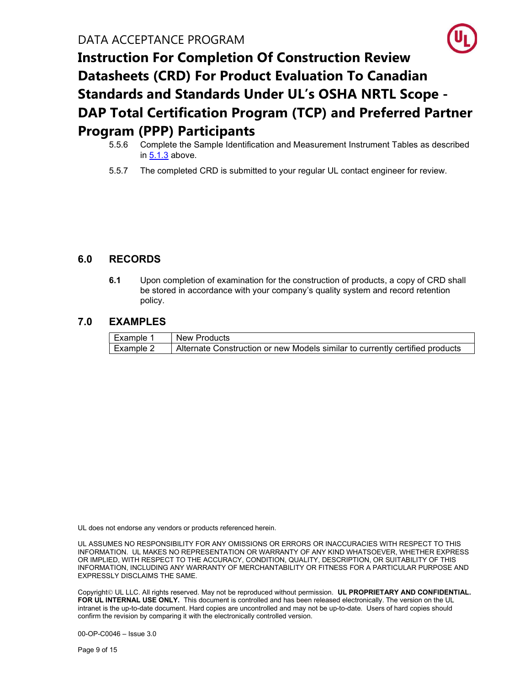- 5.5.6 Complete the Sample Identification and Measurement Instrument Tables as described in 5.1.3 above.
- 5.5.7 The completed CRD is submitted to your regular UL contact engineer for review.

### 6.0 RECORDS

6.1 Upon completion of examination for the construction of products, a copy of CRD shall be stored in accordance with your company's quality system and record retention policy.

### 7.0 EXAMPLES

| Example 1 | New Products                                                                 |
|-----------|------------------------------------------------------------------------------|
| Example 2 | Alternate Construction or new Models similar to currently certified products |

UL does not endorse any vendors or products referenced herein.

UL ASSUMES NO RESPONSIBILITY FOR ANY OMISSIONS OR ERRORS OR INACCURACIES WITH RESPECT TO THIS INFORMATION. UL MAKES NO REPRESENTATION OR WARRANTY OF ANY KIND WHATSOEVER, WHETHER EXPRESS OR IMPLIED, WITH RESPECT TO THE ACCURACY, CONDITION, QUALITY, DESCRIPTION, OR SUITABILITY OF THIS INFORMATION, INCLUDING ANY WARRANTY OF MERCHANTABILITY OR FITNESS FOR A PARTICULAR PURPOSE AND EXPRESSLY DISCLAIMS THE SAME.

Copyright UL LLC. All rights reserved. May not be reproduced without permission. UL PROPRIETARY AND CONFIDENTIAL. FOR UL INTERNAL USE ONLY. This document is controlled and has been released electronically. The version on the UL intranet is the up-to-date document. Hard copies are uncontrolled and may not be up-to-date. Users of hard copies should confirm the revision by comparing it with the electronically controlled version.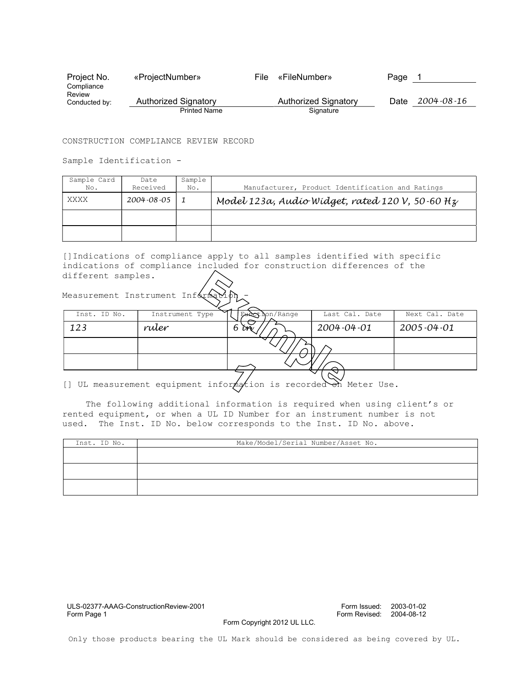| Project No.             | «ProjectNumber»      | File | «FileNumber»         | Page |                  |
|-------------------------|----------------------|------|----------------------|------|------------------|
| Compliance              |                      |      |                      |      |                  |
| Review<br>Conducted by: | Authorized Signatory |      | Authorized Signatory | Date | $2004 - 08 - 16$ |
|                         | <b>Printed Name</b>  |      | Signature            |      |                  |

#### CONSTRUCTION COMPLIANCE REVIEW RECORD

Sample Identification -

Measurement Instrument Inf

| Sample Card<br>No. | Date<br>Received | Sample<br>No. | Manufacturer, Product Identification and Ratings  |
|--------------------|------------------|---------------|---------------------------------------------------|
| XXXX               | 2004-08-05       |               | Model 123a, Audio Widget, rated 120 V, 50.60 $Hz$ |
|                    |                  |               |                                                   |
|                    |                  |               |                                                   |

[]Indications of compliance apply to all samples identified with specific indications of compliance included for construction differences of the different samples.

| Inst. ID No. | Instrument Type | Eunct hon/Range | Last Cal. Date | Next Cal. Date   |
|--------------|-----------------|-----------------|----------------|------------------|
| 123          | ruler           | îm<br>n         | 2004-04-01     | $2005 - 04 - 01$ |
|              |                 |                 |                |                  |
|              |                 |                 |                |                  |
|              |                 |                 |                |                  |

[] UL measurement equipment information is recorded on Meter Use.

The following additional information is required when using client's or rented equipment, or when a UL ID Number for an instrument number is not used. The Inst. ID No. below corresponds to the Inst. ID No. above.

| Inst. ID No. | Make/Model/Serial Number/Asset No. |
|--------------|------------------------------------|
|              |                                    |
|              |                                    |
|              |                                    |
|              |                                    |
|              |                                    |

Form Copyright 2012 UL LLC.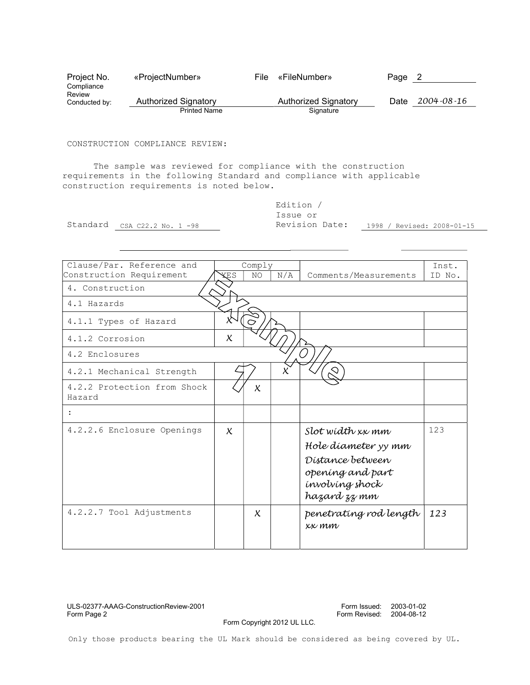| Project No.             | «ProjectNumber»      | File | «FileNumber»         | Page | $\mathbf{Z}$     |
|-------------------------|----------------------|------|----------------------|------|------------------|
| Compliance              |                      |      |                      |      |                  |
| Review<br>Conducted by: | Authorized Signatory |      | Authorized Signatory | Date | $2004 - 08 - 16$ |
|                         | <b>Printed Name</b>  |      | Signature            |      |                  |

#### CONSTRUCTION COMPLIANCE REVIEW:

The sample was reviewed for compliance with the construction requirements in the following Standard and compliance with applicable construction requirements is noted below.

|                              | Edition        |                            |
|------------------------------|----------------|----------------------------|
|                              | Issue or       |                            |
| Standard CSA C22.2 No. 1 -98 | Revision Date: | 1998 / Revised: 2008-01-15 |

| Clause/Par, Reference and<br>Construction Requirement | XE S                      | Comply<br>NO. | N/A | Comments/Measurements                                                                                              | Inst.<br>ID No. |
|-------------------------------------------------------|---------------------------|---------------|-----|--------------------------------------------------------------------------------------------------------------------|-----------------|
| 4. Construction                                       |                           |               |     |                                                                                                                    |                 |
| 4.1 Hazards                                           |                           |               |     |                                                                                                                    |                 |
| 4.1.1 Types of Hazard                                 |                           |               |     |                                                                                                                    |                 |
| 4.1.2 Corrosion                                       | $\chi$                    |               |     |                                                                                                                    |                 |
| 4.2 Enclosures                                        |                           |               |     |                                                                                                                    |                 |
| 4.2.1 Mechanical Strength                             |                           |               |     | ↷                                                                                                                  |                 |
| 4.2.2 Protection from Shock<br>Hazard                 |                           | $\chi$        |     |                                                                                                                    |                 |
| $\ddot{\cdot}$                                        |                           |               |     |                                                                                                                    |                 |
| 4.2.2.6 Enclosure Openings                            | $\boldsymbol{\mathsf{x}}$ |               |     | Slot width xx mm<br>Hole díameter yy mm<br>Distance between<br>opening and part<br>involving shock<br>hazard zz mm | 123             |
| 4.2.2.7 Tool Adjustments                              |                           | $\chi$        |     | penetrating rod length<br>xx mm                                                                                    | 123             |

### ULS-02377-AAAG-ConstructionReview-2001<br>Form Page 2

Form Issued: 2003-01-02<br>Form Revised: 2004-08-12

Form Copyright 2012 UL LLC.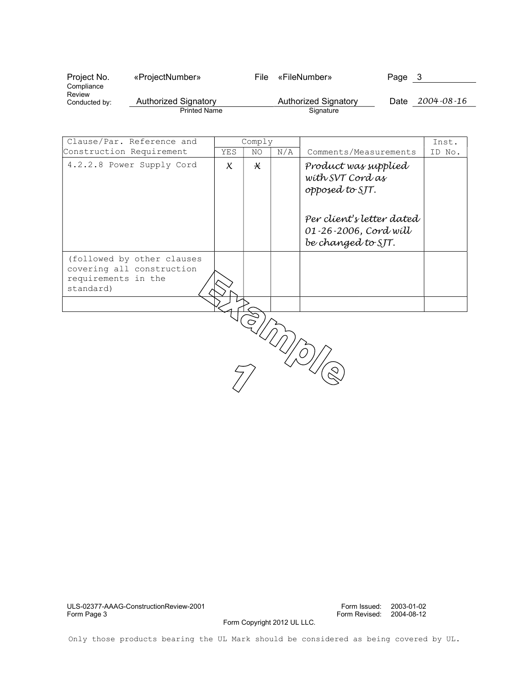| Project No.             | «ProjectNumber»      | File | «FileNumber»         | Page | 3                |
|-------------------------|----------------------|------|----------------------|------|------------------|
| Compliance              |                      |      |                      |      |                  |
| Review<br>Conducted by: | Authorized Signatory |      | Authorized Signatory | Date | $2004 - 08 - 16$ |
|                         | <b>Printed Name</b>  |      | Signature            |      |                  |

| Clause/Par. Reference and                                                                   | Comply |                           |     |                                                                          | Inst.  |
|---------------------------------------------------------------------------------------------|--------|---------------------------|-----|--------------------------------------------------------------------------|--------|
| Construction Requirement                                                                    | YES    | NO.                       | N/A | Comments/Measurements                                                    | ID No. |
| 4.2.2.8 Power Supply Cord                                                                   | $\chi$ | $\boldsymbol{\mathsf{X}}$ |     | Product was supplied<br>with SVT Cord as<br>opposed to SJT.              |        |
|                                                                                             |        |                           |     | Per client's letter dated<br>01-26-2006, Cord will<br>be changed to SJT. |        |
| (followed by other clauses<br>covering all construction<br>requirements in the<br>standard) |        |                           |     |                                                                          |        |
|                                                                                             |        |                           |     |                                                                          |        |
|                                                                                             |        |                           |     |                                                                          |        |

Form Copyright 2012 UL LLC.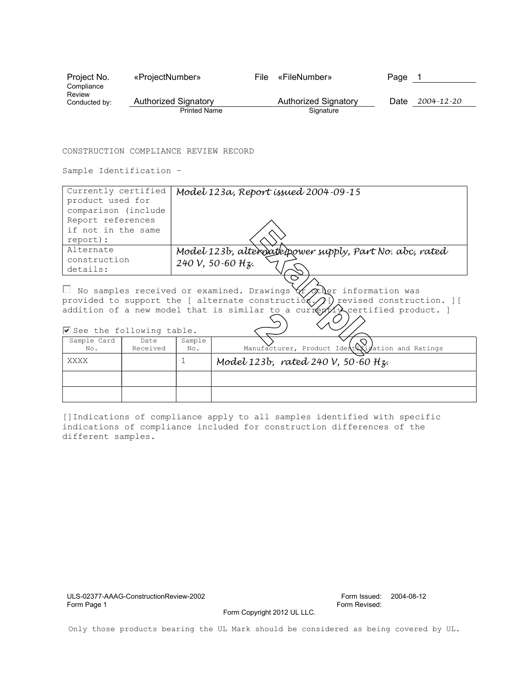| Project No.             | «ProjectNumber»      | File | «FileNumber»         | Page |                  |
|-------------------------|----------------------|------|----------------------|------|------------------|
| Compliance              |                      |      |                      |      |                  |
| Review<br>Conducted by: | Authorized Signatory |      | Authorized Signatory | Date | $2004 - 12 - 20$ |
|                         | <b>Printed Name</b>  |      | Signature            |      |                  |

#### CONSTRUCTION COMPLIANCE REVIEW RECORD

Sample Identification –

| Currently certified<br>product used for                                                                                                                                                                                                                                   |                  | Model 123a, Report issued 2004-09-15                    |                                                  |  |  |  |
|---------------------------------------------------------------------------------------------------------------------------------------------------------------------------------------------------------------------------------------------------------------------------|------------------|---------------------------------------------------------|--------------------------------------------------|--|--|--|
| comparison (include                                                                                                                                                                                                                                                       |                  |                                                         |                                                  |  |  |  |
| Report references                                                                                                                                                                                                                                                         |                  |                                                         |                                                  |  |  |  |
| if not in the same                                                                                                                                                                                                                                                        |                  |                                                         |                                                  |  |  |  |
| report):                                                                                                                                                                                                                                                                  |                  |                                                         |                                                  |  |  |  |
| Alternate                                                                                                                                                                                                                                                                 |                  | Model 123b, alterwate/power supply, Part No. abc, rated |                                                  |  |  |  |
| construction                                                                                                                                                                                                                                                              |                  | 240 V, 50-60 Hz.                                        |                                                  |  |  |  |
| details:                                                                                                                                                                                                                                                                  |                  |                                                         |                                                  |  |  |  |
| No samples received or examined. Drawings $\forall f$ other information was<br>provided to support the [ alternate construction,<br>) revised construction. 11<br>addition of a new model that is similar to a currextly certified product. ]<br>See the following table. |                  |                                                         |                                                  |  |  |  |
| Sample Card<br>No.                                                                                                                                                                                                                                                        | Date<br>Received | Sample<br>No.                                           | Manufacturer, Product Identixization and Ratings |  |  |  |
| XXXX                                                                                                                                                                                                                                                                      |                  |                                                         | Model 123b, rated 240 V, 50.60 Hz.               |  |  |  |
|                                                                                                                                                                                                                                                                           |                  |                                                         |                                                  |  |  |  |

[]Indications of compliance apply to all samples identified with specific indications of compliance included for construction differences of the different samples.

ULS-02377-AAAG-ConstructionReview-2002 Form Issued: 2004-08-12

Form Revised:

Form Copyright 2012 UL LLC.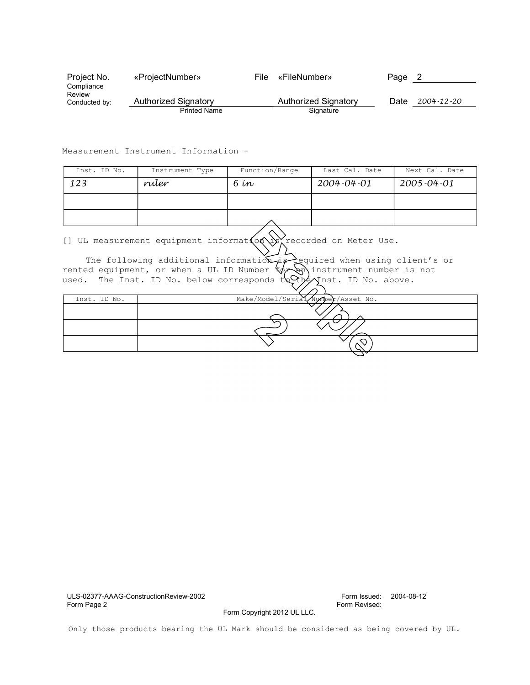| Project No.             | «ProjectNumber»      | File | «FileNumber»         | Page |                  |
|-------------------------|----------------------|------|----------------------|------|------------------|
| Compliance              |                      |      |                      |      |                  |
| Review<br>Conducted by: | Authorized Signatory |      | Authorized Signatory | Date | $2004 - 12 - 20$ |
|                         | <b>Printed Name</b>  |      | Signature            |      |                  |

Measurement Instrument Information -

| Inst. ID No. | Instrument Type | Function/Range | Last Cal. Date | Next Cal. Date   |
|--------------|-----------------|----------------|----------------|------------------|
| 123          | ruler           | 6 ín           | 2004-04-01     | $2005 - 04 - 01$ |
|              |                 |                |                |                  |
|              |                 |                |                |                  |

[] UL measurement equipment informat $\{o\phi\}$  recorded on Meter Use.

The following additional information is required when using client's or ed equipment, or when a UL ID Number  $\frac{1}{2}$  instrument number is not rented equipment, or when a UL ID Number  $\frac{1}{2}$  instrument number is used. The Inst. ID No. below corresponds  $\frac{1}{2}$  inst. ID No. above. used. The Inst. ID No. below corresponds  $t\in\mathbb{Q}$ 

| Inst. ID No. | Make/Model/Serial/Number/Asset No. |
|--------------|------------------------------------|
|              |                                    |
|              |                                    |
|              |                                    |
|              |                                    |

ULS-02377-AAAG-ConstructionReview-2002 Form Issued: 2004-08-12

Form Revised:

Form Copyright 2012 UL LLC.